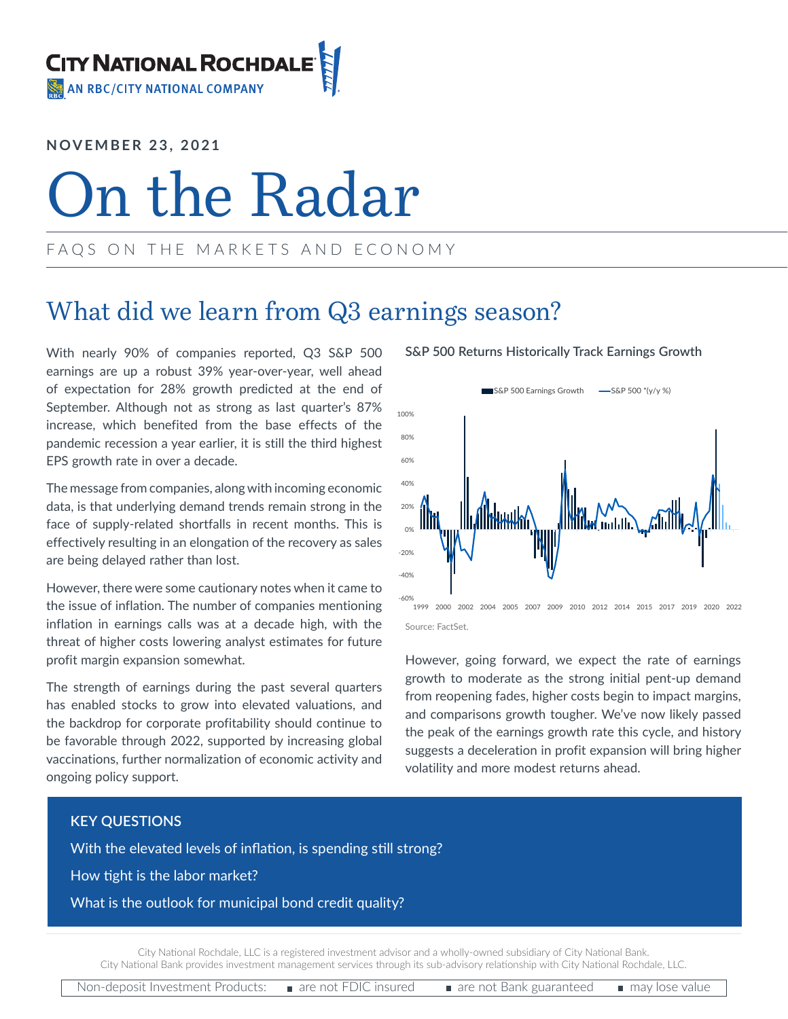**NOVEMBER 23, 2021**

# On the Radar

### FAQS ON THE MARKETS AND ECONOMY

## What did we learn from Q3 earnings season?

With nearly 90% of companies reported, Q3 S&P 500 earnings are up a robust 39% year-over-year, well ahead of expectation for 28% growth predicted at the end of September. Although not as strong as last quarter's 87% increase, which benefited from the base effects of the pandemic recession a year earlier, it is still the third highest EPS growth rate in over a decade.

The message from companies, along with incoming economic data, is that underlying demand trends remain strong in the face of supply-related shortfalls in recent months. This is effectively resulting in an elongation of the recovery as sales are being delayed rather than lost.

However, there were some cautionary notes when it came to the issue of inflation. The number of companies mentioning inflation in earnings calls was at a decade high, with the threat of higher costs lowering analyst estimates for future profit margin expansion somewhat.

The strength of earnings during the past several quarters has enabled stocks to grow into elevated valuations, and the backdrop for corporate profitability should continue to be favorable through 2022, supported by increasing global vaccinations, further normalization of economic activity and ongoing policy support.

### **S&P 500 Returns Historically Track Earnings Growth**





However, going forward, we expect the rate of earnings growth to moderate as the strong initial pent-up demand from reopening fades, higher costs begin to impact margins, and comparisons growth tougher. We've now likely passed the peak of the earnings growth rate this cycle, and history suggests a deceleration in profit expansion will bring higher volatility and more modest returns ahead.

### **KEY QUESTIONS**

With the elevated levels of inflation, is spending still strong?

How tight is the labor market?

What is the outlook for municipal bond credit quality?

City National Rochdale, LLC is a registered investment advisor and a wholly-owned subsidiary of City National Bank. City National Bank provides investment management services through its sub-advisory relationship with City National Rochdale, LLC.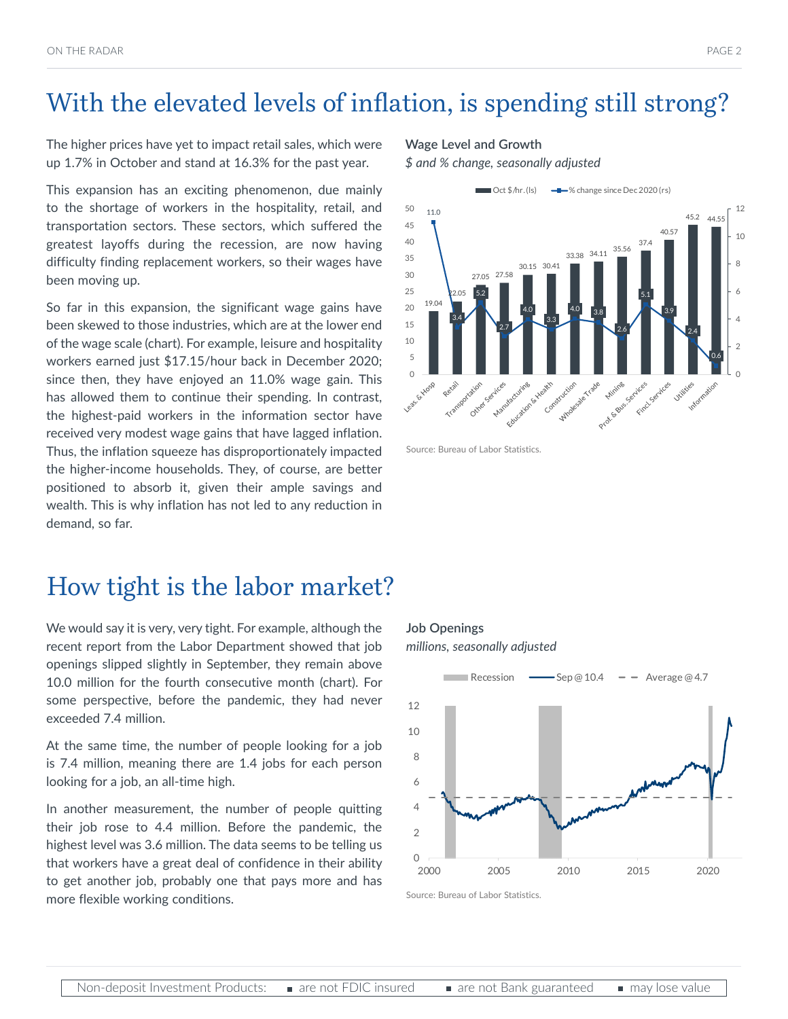# With the elevated levels of inflation, is spending still strong?

The higher prices have yet to impact retail sales, which were up 1.7% in October and stand at 16.3% for the past year.

This expansion has an exciting phenomenon, due mainly to the shortage of workers in the hospitality, retail, and transportation sectors. These sectors, which suffered the greatest layoffs during the recession, are now having difficulty finding replacement workers, so their wages have been moving up.

So far in this expansion, the significant wage gains have been skewed to those industries, which are at the lower end of the wage scale (chart). For example, leisure and hospitality workers earned just \$17.15/hour back in December 2020; since then, they have enjoyed an 11.0% wage gain. This has allowed them to continue their spending. In contrast, the highest-paid workers in the information sector have received very modest wage gains that have lagged inflation. Thus, the inflation squeeze has disproportionately impacted the higher-income households. They, of course, are better positioned to absorb it, given their ample savings and wealth. This is why inflation has not led to any reduction in demand, so far.

### How tight is the labor market?

We would say it is very, very tight. For example, although the recent report from the Labor Department showed that job openings slipped slightly in September, they remain above 10.0 million for the fourth consecutive month (chart). For some perspective, before the pandemic, they had never exceeded 7.4 million.

At the same time, the number of people looking for a job is 7.4 million, meaning there are 1.4 jobs for each person looking for a job, an all-time high.

In another measurement, the number of people quitting their job rose to 4.4 million. Before the pandemic, the highest level was 3.6 million. The data seems to be telling us that workers have a great deal of confidence in their ability to get another job, probably one that pays more and has more flexible working conditions.

#### **Wage Level and Growth**

*\$ and % change, seasonally adjusted* 



Source: Bureau of Labor Statistics.

**Job Openings** *millions, seasonally adjusted*



Source: Bureau of Labor Statistics.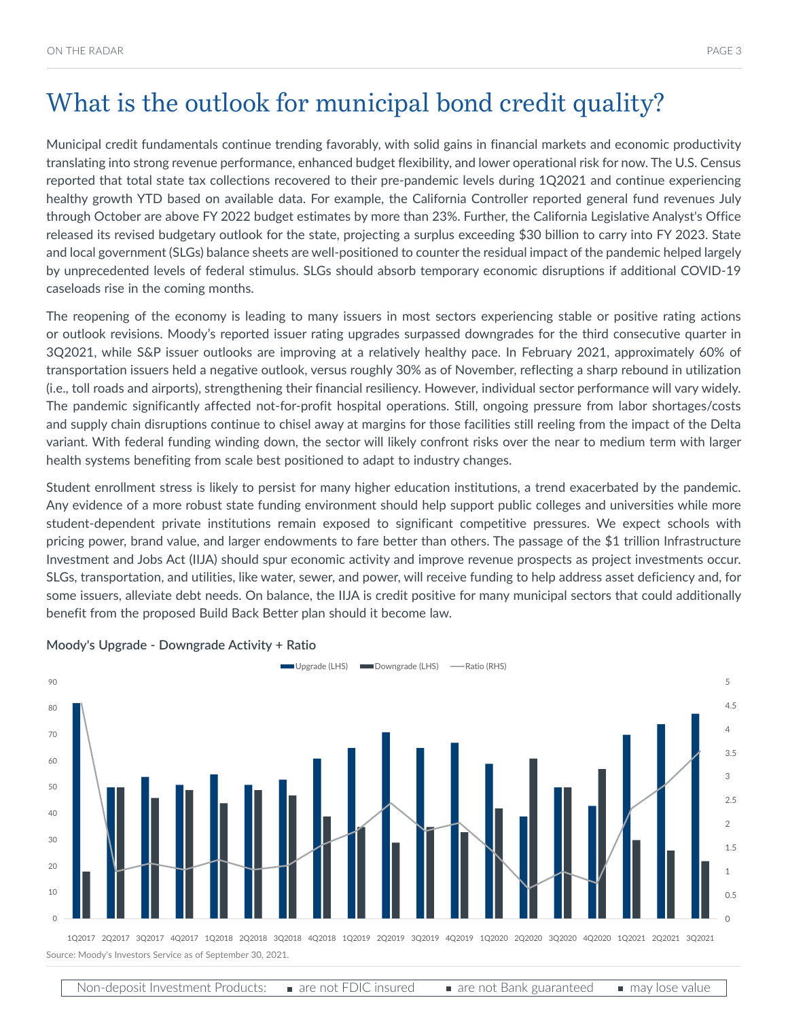Municipal credit fundamentals continue trending favorably, with solid gains in financial markets and economic productivity translating into strong revenue performance, enhanced budget flexibility, and lower operational risk for now. The U.S. Census reported that total state tax collections recovered to their pre-pandemic levels during 1Q2021 and continue experiencing healthy growth YTD based on available data. For example, the California Controller reported general fund revenues July through October are above FY 2022 budget estimates by more than 23%. Further, the California Legislative Analyst's Office released its revised budgetary outlook for the state, projecting a surplus exceeding \$30 billion to carry into FY 2023. State and local government (SLGs) balance sheets are well-positioned to counter the residual impact of the pandemic helped largely by unprecedented levels of federal stimulus. SLGs should absorb temporary economic disruptions if additional COVID-19 caseloads rise in the coming months.

The reopening of the economy is leading to many issuers in most sectors experiencing stable or positive rating actions or outlook revisions. Moody's reported issuer rating upgrades surpassed downgrades for the third consecutive quarter in 3Q2021, while S&P issuer outlooks are improving at a relatively healthy pace. In February 2021, approximately 60% of transportation issuers held a negative outlook, versus roughly 30% as of November, reflecting a sharp rebound in utilization (i.e., toll roads and airports), strengthening their financial resiliency. However, individual sector performance will vary widely. The pandemic significantly affected not-for-profit hospital operations. Still, ongoing pressure from labor shortages/costs and supply chain disruptions continue to chisel away at margins for those facilities still reeling from the impact of the Delta variant. With federal funding winding down, the sector will likely confront risks over the near to medium term with larger health systems benefiting from scale best positioned to adapt to industry changes.

Student enrollment stress is likely to persist for many higher education institutions, a trend exacerbated by the pandemic. Any evidence of a more robust state funding environment should help support public colleges and universities while more student-dependent private institutions remain exposed to significant competitive pressures. We expect schools with pricing power, brand value, and larger endowments to fare better than others. The passage of the \$1 trillion Infrastructure Investment and Jobs Act (IIJA) should spur economic activity and improve revenue prospects as project investments occur. SLGs, transportation, and utilities, like water, sewer, and power, will receive funding to help address asset deficiency and, for some issuers, alleviate debt needs. On balance, the IIJA is credit positive for many municipal sectors that could additionally benefit from the proposed Build Back Better plan should it become law.



**Moody's Upgrade - Downgrade Activity + Ratio**